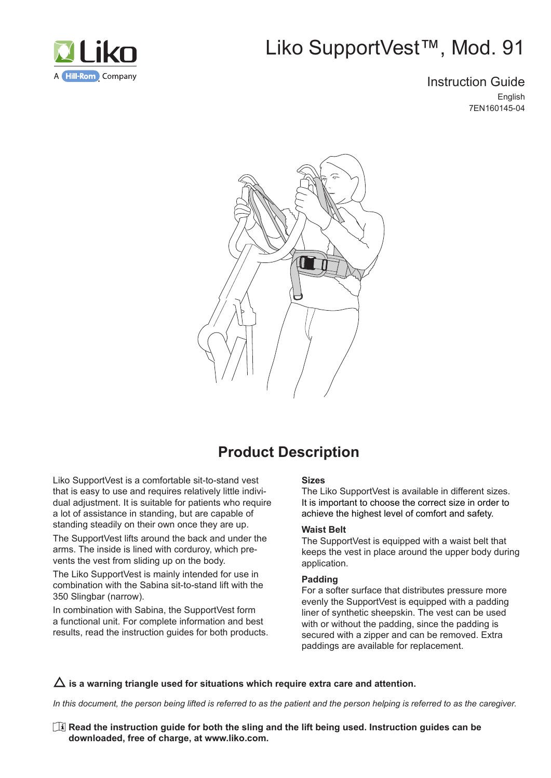

# Liko SupportVest™, Mod. 91

### Instruction Guide English 7EN160145-04



## **Product Description**

Liko SupportVest is a comfortable sit-to-stand vest that is easy to use and requires relatively little individual adjustment. It is suitable for patients who require a lot of assistance in standing, but are capable of standing steadily on their own once they are up.

The SupportVest lifts around the back and under the arms. The inside is lined with corduroy, which prevents the vest from sliding up on the body.

The Liko SupportVest is mainly intended for use in combination with the Sabina sit-to-stand lift with the 350 Slingbar (narrow).

In combination with Sabina, the SupportVest form a functional unit. For complete information and best results, read the instruction guides for both products.

#### **Sizes**

The Liko SupportVest is available in different sizes. It is important to choose the correct size in order to achieve the highest level of comfort and safety.

#### **Waist Belt**

The SupportVest is equipped with a waist belt that keeps the vest in place around the upper body during application.

#### **Padding**

For a softer surface that distributes pressure more evenly the SupportVest is equipped with a padding liner of synthetic sheepskin. The vest can be used with or without the padding, since the padding is secured with a zipper and can be removed. Extra paddings are available for replacement.

#### $\Delta$  is a warning triangle used for situations which require extra care and attention.

*In this document, the person being lifted is referred to as the patient and the person helping is referred to as the caregiver.*

**Read the instruction guide for both the sling and the lift being used. Instruction guides can be downloaded, free of charge, at www.liko.com.**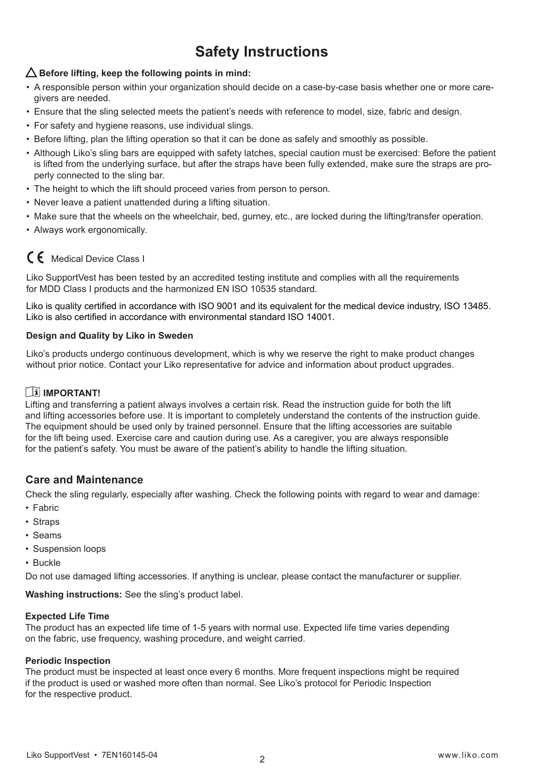## **Safety Instructions**

### $\Delta$  Before lifting, keep the following points in mind:

- A responsible person within your organization should decide on a case-by-case basis whether one or more caregivers are needed.
- Ensure that the sling selected meets the patient's needs with reference to model, size, fabric and design.
- For safety and hygiene reasons, use individual slings.
- Before lifting, plan the lifting operation so that it can be done as safely and smoothly as possible.
- Although Liko's sling bars are equipped with safety latches, special caution must be exercised: Before the patient is lifted from the underlying surface, but after the straps have been fully extended, make sure the straps are properly connected to the sling bar.
- The height to which the lift should proceed varies from person to person.
- Never leave a patient unattended during a lifting situation.
- Make sure that the wheels on the wheelchair, bed, gurney, etc., are locked during the lifting/transfer operation.
- Always work ergonomically.

### C 6 Medical Device Class I

Liko SupportVest has been tested by an accredited testing institute and complies with all the requirements for MDD Class I products and the harmonized EN ISO 10535 standard.

Liko is quality certified in accordance with ISO 9001 and its equivalent for the medical device industry, ISO 13485. Liko is also certified in accordance with environmental standard ISO 14001.

#### **Design and Quality by Liko in Sweden**

Liko's products undergo continuous development, which is why we reserve the right to make product changes without prior notice. Contact your Liko representative for advice and information about product upgrades.

### **IMPORTANT!**

Lifting and transferring a patient always involves a certain risk. Read the instruction guide for both the lift and lifting accessories before use. It is important to completely understand the contents of the instruction guide. The equipment should be used only by trained personnel. Ensure that the lifting accessories are suitable for the lift being used. Exercise care and caution during use. As a caregiver, you are always responsible for the patient's safety. You must be aware of the patient's ability to handle the lifting situation.

### **Care and Maintenance**

Check the sling regularly, especially after washing. Check the following points with regard to wear and damage:

- Fabric
- Straps
- Seams
- Suspension loops
- Buckle

Do not use damaged lifting accessories. If anything is unclear, please contact the manufacturer or supplier.

**Washing instructions:** See the sling's product label.

#### **Expected Life Time**

The product has an expected life time of 1-5 years with normal use. Expected life time varies depending on the fabric, use frequency, washing procedure, and weight carried.

#### **Periodic Inspection**

The product must be inspected at least once every 6 months. More frequent inspections might be required if the product is used or washed more often than normal. See Liko's protocol for Periodic Inspection for the respective product.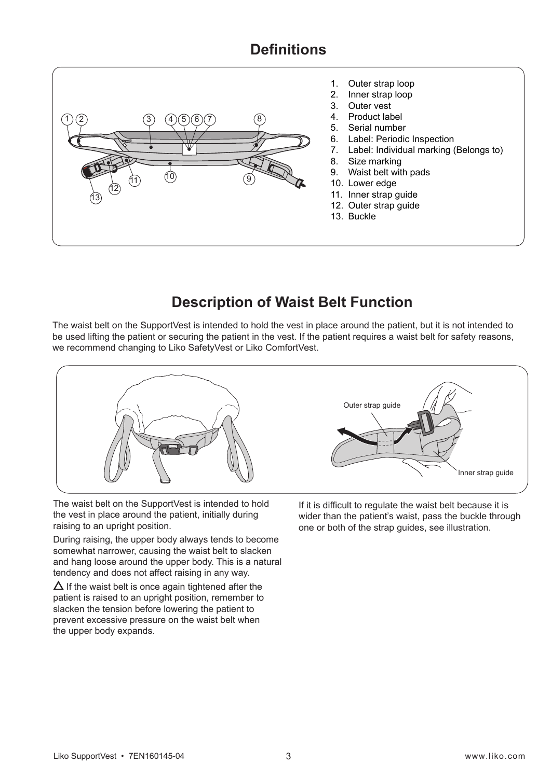## **Definitions**



- 1. Outer strap loop
- 2. Inner strap loop
- 3. Outer vest
- 4. Product label
- 5. Serial number
- 6. Label: Periodic Inspection<br>7. Label: Individual marking (
- Label: Individual marking (Belongs to)
- 8. Size marking
- 9. Waist belt with pads
- 10. Lower edge
- 11. Inner strap guide
- 12. Outer strap guide
- 13. Buckle

## **Description of Waist Belt Function**

The waist belt on the SupportVest is intended to hold the vest in place around the patient, but it is not intended to be used lifting the patient or securing the patient in the vest. If the patient requires a waist belt for safety reasons, we recommend changing to Liko SafetyVest or Liko ComfortVest.



The waist belt on the SupportVest is intended to hold the vest in place around the patient, initially during raising to an upright position.

During raising, the upper body always tends to become somewhat narrower, causing the waist belt to slacken and hang loose around the upper body. This is a natural tendency and does not affect raising in any way.

 $\Delta$  If the waist belt is once again tightened after the patient is raised to an upright position, remember to slacken the tension before lowering the patient to prevent excessive pressure on the waist belt when the upper body expands.

If it is difficult to regulate the waist belt because it is wider than the patient's waist, pass the buckle through one or both of the strap guides, see illustration.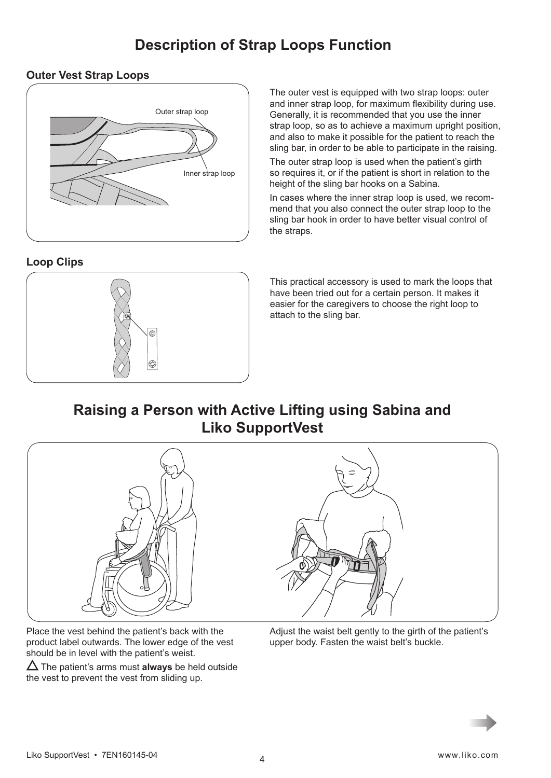## **Description of Strap Loops Function**

### **Outer Vest Strap Loops**



### **Loop Clips**



The outer vest is equipped with two strap loops: outer and inner strap loop, for maximum flexibility during use. Generally, it is recommended that you use the inner strap loop, so as to achieve a maximum upright position, and also to make it possible for the patient to reach the sling bar, in order to be able to participate in the raising.

The outer strap loop is used when the patient's girth so requires it, or if the patient is short in relation to the height of the sling bar hooks on a Sabina.

In cases where the inner strap loop is used, we recommend that you also connect the outer strap loop to the sling bar hook in order to have better visual control of the straps.

This practical accessory is used to mark the loops that have been tried out for a certain person. It makes it easier for the caregivers to choose the right loop to attach to the sling bar.

## **Raising a Person with Active Lifting using Sabina and Liko SupportVest**



Place the vest behind the patient's back with the product label outwards. The lower edge of the vest should be in level with the patient's weist.

 $\Delta$  The patient's arms must **always** be held outside the vest to prevent the vest from sliding up.

Adjust the waist belt gently to the girth of the patient's upper body. Fasten the waist belt's buckle.

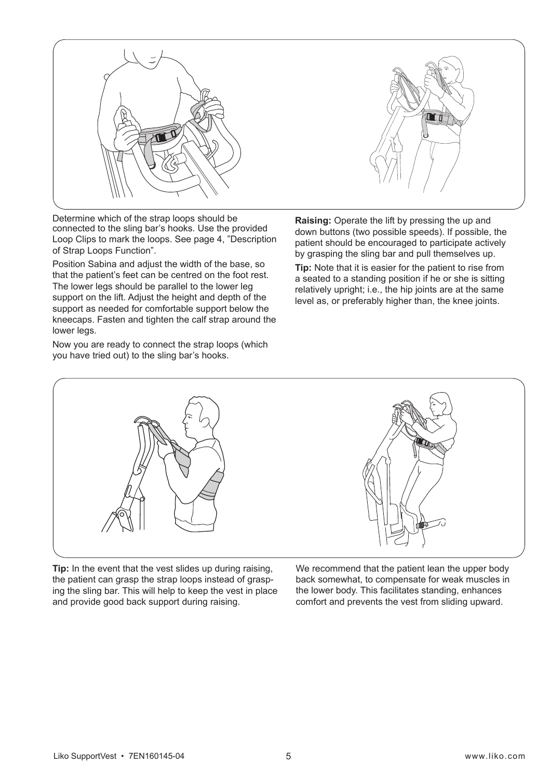

Determine which of the strap loops should be connected to the sling bar's hooks. Use the provided Loop Clips to mark the loops. See page 4, "Description of Strap Loops Function".

Position Sabina and adjust the width of the base, so that the patient's feet can be centred on the foot rest. The lower legs should be parallel to the lower leg support on the lift. Adjust the height and depth of the support as needed for comfortable support below the kneecaps. Fasten and tighten the calf strap around the lower legs.

Now you are ready to connect the strap loops (which you have tried out) to the sling bar's hooks.

**Raising:** Operate the lift by pressing the up and down buttons (two possible speeds). If possible, the patient should be encouraged to participate actively by grasping the sling bar and pull themselves up.

**Tip:** Note that it is easier for the patient to rise from a seated to a standing position if he or she is sitting relatively upright; i.e., the hip joints are at the same level as, or preferably higher than, the knee joints.



**Tip:** In the event that the vest slides up during raising, the patient can grasp the strap loops instead of grasping the sling bar. This will help to keep the vest in place and provide good back support during raising.

We recommend that the patient lean the upper body back somewhat, to compensate for weak muscles in the lower body. This facilitates standing, enhances comfort and prevents the vest from sliding upward.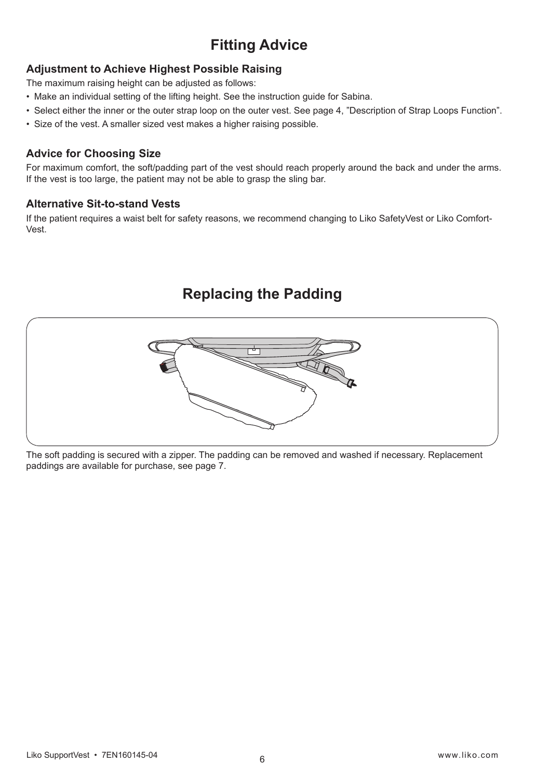## **Fitting Advice**

### **Adjustment to Achieve Highest Possible Raising**

The maximum raising height can be adjusted as follows:

- Make an individual setting of the lifting height. See the instruction guide for Sabina.
- Select either the inner or the outer strap loop on the outer vest. See page 4, "Description of Strap Loops Function".
- Size of the vest. A smaller sized vest makes a higher raising possible.

### **Advice for Choosing Size**

For maximum comfort, the soft/padding part of the vest should reach properly around the back and under the arms. If the vest is too large, the patient may not be able to grasp the sling bar.

### **Alternative Sit-to-stand Vests**

If the patient requires a waist belt for safety reasons, we recommend changing to Liko SafetyVest or Liko Comfort-Vest.

## **Replacing the Padding**



The soft padding is secured with a zipper. The padding can be removed and washed if necessary. Replacement paddings are available for purchase, see page 7.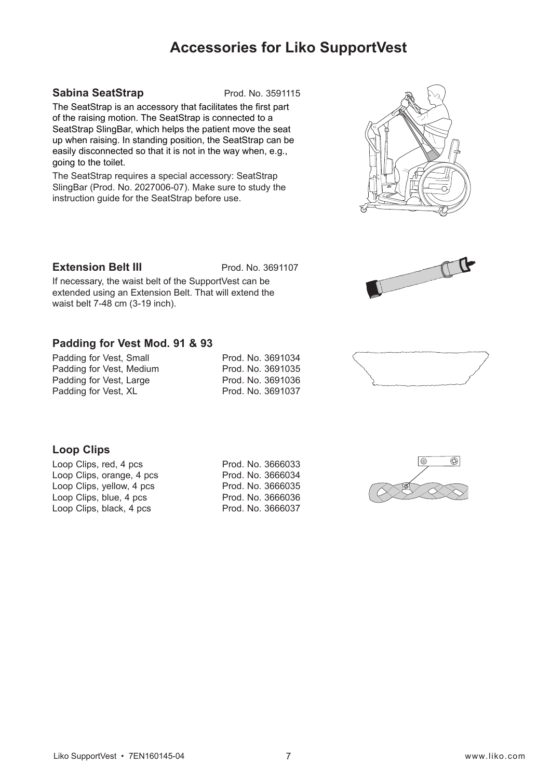## **Accessories for Liko SupportVest**

#### **Sabina SeatStrap** Prod. No. 3591115

The SeatStrap is an accessory that facilitates the first part of the raising motion. The SeatStrap is connected to a SeatStrap SlingBar, which helps the patient move the seat up when raising. In standing position, the SeatStrap can be easily disconnected so that it is not in the way when, e.g., going to the toilet.

The SeatStrap requires a special accessory: SeatStrap SlingBar (Prod. No. 2027006-07). Make sure to study the instruction guide for the SeatStrap before use.

#### **Extension Belt III** Prod. No. 3691107

If necessary, the waist belt of the SupportVest can be extended using an Extension Belt. That will extend the waist belt 7-48 cm (3-19 inch).

#### **Padding for Vest Mod. 91 & 93**

| Padding for Vest, Small  |  | Prod. No. 3691034 |  |
|--------------------------|--|-------------------|--|
| Padding for Vest, Medium |  | Prod. No. 3691035 |  |
| Padding for Vest, Large  |  | Prod. No. 3691036 |  |
| Padding for Vest, XL     |  | Prod. No. 3691037 |  |
|                          |  |                   |  |

### **Loop Clips**

Loop Clips, orange, 4 pcs Prod. No. 3666034 Loop Clips, yellow, 4 pcs Prod. No. 3666035 Loop Clips, blue, 4 pcs Prod. No. 3666036 Loop Clips, black, 4 pcs Prod. No. 3666037

Loop Clips, red, 4 pcs Prod. No. 3666033